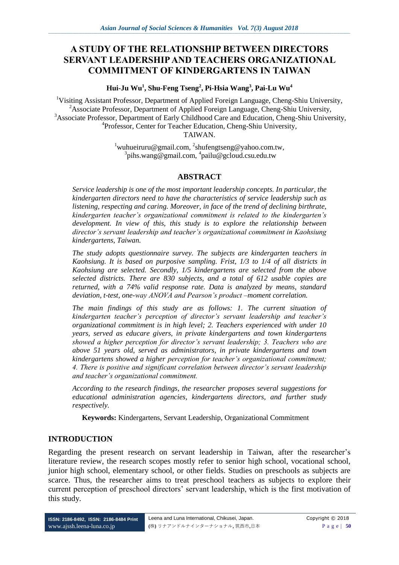# **A STUDY OF THE RELATIONSHIP BETWEEN DIRECTORS SERVANT LEADERSHIP AND TEACHERS ORGANIZATIONAL COMMITMENT OF KINDERGARTENS IN TAIWAN**

**Hui-Ju Wu<sup>1</sup> , Shu-Feng Tseng<sup>2</sup> , Pi-Hsia Wang<sup>3</sup> , Pai-Lu Wu<sup>4</sup>**

<sup>1</sup>Visiting Assistant Professor, Department of Applied Foreign Language, Cheng-Shiu University, <sup>2</sup>Associate Professor, Department of Applied Foreign Language, Cheng-Shiu University, <sup>3</sup>Associate Professor, Department of Early Childhood Care and Education, Cheng-Shiu University, 4 Professor, Center for Teacher Education, Cheng-Shiu University, TAIWAN.

> $1$ wuhueiruru@gmail.com,  $2$ shufengtseng@yahoo.com.tw, <sup>3</sup>pihs.wang@gmail.com, <sup>4</sup>pailu@gcloud.csu.edu.tw

#### **ABSTRACT**

*Service leadership is one of the most important leadership concepts. In particular, the kindergarten directors need to have the characteristics of service leadership such as listening, respecting and caring. Moreover, in face of the trend of declining birthrate, kindergarten teacher's organizational commitment is related to the kindergarten's development. In view of this, this study is to explore the relationship between director's servant leadership and teacher's organizational commitment in Kaohsiung kindergartens, Taiwan.*

*The study adopts questionnaire survey. The subjects are kindergarten teachers in Kaohsiung. It is based on purposive sampling. Frist, 1/3 to 1/4 of all districts in Kaohsiung are selected. Secondly, 1/5 kindergartens are selected from the above selected districts. There are 830 subjects, and a total of 612 usable copies are returned, with a 74% valid response rate. Data is analyzed by means, standard deviation, t-test, one-way ANOVA and Pearson's product –moment correlation.*

*The main findings of this study are as follows: 1. The current situation of kindergarten teacher's perception of director's servant leadership and teacher's organizational commitment is in high level; 2. Teachers experienced with under 10 years, served as educare givers, in private kindergartens and town kindergartens showed a higher perception for director's servant leadership; 3. Teachers who are above 51 years old, served as administrators, in private kindergartens and town kindergartens showed a higher perception for teacher's organizational commitment; 4. There is positive and significant correlation between director's servant leadership and teacher's organizational commitment.*

*According to the research findings, the researcher proposes several suggestions for educational administration agencies, kindergartens directors, and further study respectively.*

**Keywords:** Kindergartens, Servant Leadership, Organizational Commitment

## **INTRODUCTION**

Regarding the present research on servant leadership in Taiwan, after the researcher's literature review, the research scopes mostly refer to senior high school, vocational school, junior high school, elementary school, or other fields. Studies on preschools as subjects are scarce. Thus, the researcher aims to treat preschool teachers as subjects to explore their current perception of preschool directors' servant leadership, which is the first motivation of this study.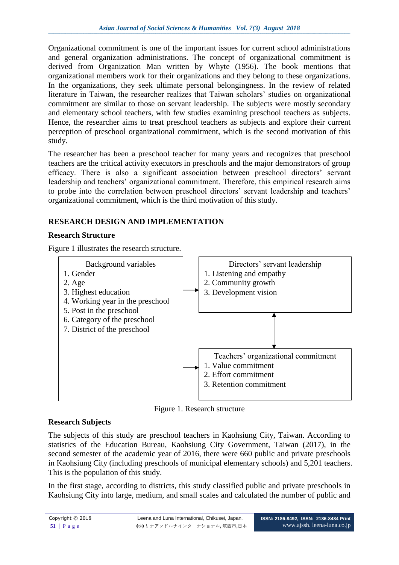Organizational commitment is one of the important issues for current school administrations and general organization administrations. The concept of organizational commitment is derived from Organization Man written by Whyte (1956). The book mentions that organizational members work for their organizations and they belong to these organizations. In the organizations, they seek ultimate personal belongingness. In the review of related literature in Taiwan, the researcher realizes that Taiwan scholars' studies on organizational commitment are similar to those on servant leadership. The subjects were mostly secondary and elementary school teachers, with few studies examining preschool teachers as subjects. Hence, the researcher aims to treat preschool teachers as subjects and explore their current perception of preschool organizational commitment, which is the second motivation of this study.

The researcher has been a preschool teacher for many years and recognizes that preschool teachers are the critical activity executors in preschools and the major demonstrators of group efficacy. There is also a significant association between preschool directors' servant leadership and teachers' organizational commitment. Therefore, this empirical research aims to probe into the correlation between preschool directors' servant leadership and teachers' organizational commitment, which is the third motivation of this study.

# **RESEARCH DESIGN AND IMPLEMENTATION**

# **Research Structure**

Figure 1 illustrates the research structure.



Figure 1. Research structure

# **Research Subjects**

The subjects of this study are preschool teachers in Kaohsiung City, Taiwan. According to statistics of the Education Bureau, Kaohsiung City Government, Taiwan (2017), in the second semester of the academic year of 2016, there were 660 public and private preschools in Kaohsiung City (including preschools of municipal elementary schools) and 5,201 teachers. This is the population of this study.

In the first stage, according to districts, this study classified public and private preschools in Kaohsiung City into large, medium, and small scales and calculated the number of public and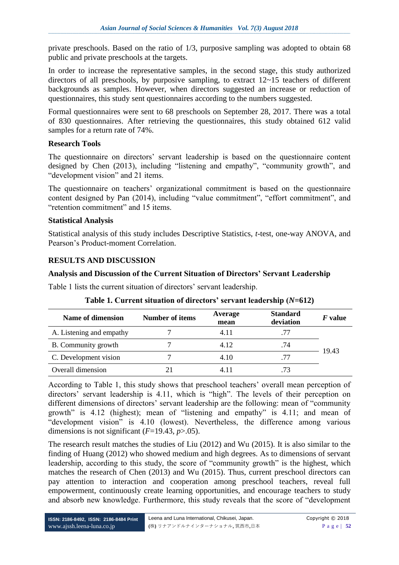private preschools. Based on the ratio of 1/3, purposive sampling was adopted to obtain 68 public and private preschools at the targets.

In order to increase the representative samples, in the second stage, this study authorized directors of all preschools, by purposive sampling, to extract 12~15 teachers of different backgrounds as samples. However, when directors suggested an increase or reduction of questionnaires, this study sent questionnaires according to the numbers suggested.

Formal questionnaires were sent to 68 preschools on September 28, 2017. There was a total of 830 questionnaires. After retrieving the questionnaires, this study obtained 612 valid samples for a return rate of 74%.

### **Research Tools**

The questionnaire on directors' servant leadership is based on the questionnaire content designed by Chen (2013), including "listening and empathy", "community growth", and "development vision" and 21 items.

The questionnaire on teachers' organizational commitment is based on the questionnaire content designed by Pan (2014), including "value commitment", "effort commitment", and "retention commitment" and 15 items.

### **Statistical Analysis**

Statistical analysis of this study includes Descriptive Statistics, *t*-test, one-way ANOVA, and Pearson's Product-moment Correlation.

# **RESULTS AND DISCUSSION**

### **Analysis and Discussion of the Current Situation of Directors' Servant Leadership**

Table 1 lists the current situation of directors' servant leadership.

| Name of dimension        | Number of items | Average<br>mean | <b>Standard</b><br>deviation | $\bm{F}$ value |  |
|--------------------------|-----------------|-----------------|------------------------------|----------------|--|
| A. Listening and empathy |                 | 4.11            | .77                          |                |  |
| B. Community growth      |                 | 4.12            | .74                          |                |  |
| C. Development vision    |                 | 4.10            | .77                          | 19.43          |  |
| Overall dimension        |                 |                 |                              |                |  |

# **Table 1. Current situation of directors' servant leadership (***N***=612)**

According to Table 1, this study shows that preschool teachers' overall mean perception of directors' servant leadership is 4.11, which is "high". The levels of their perception on different dimensions of directors' servant leadership are the following: mean of "community growth" is 4.12 (highest); mean of "listening and empathy" is 4.11; and mean of "development vision" is 4.10 (lowest). Nevertheless, the difference among various dimensions is not significant  $(F=19.43, p>0.05)$ .

The research result matches the studies of Liu (2012) and Wu (2015). It is also similar to the finding of Huang (2012) who showed medium and high degrees. As to dimensions of servant leadership, according to this study, the score of "community growth" is the highest, which matches the research of Chen (2013) and Wu (2015). Thus, current preschool directors can pay attention to interaction and cooperation among preschool teachers, reveal full empowerment, continuously create learning opportunities, and encourage teachers to study and absorb new knowledge. Furthermore, this study reveals that the score of "development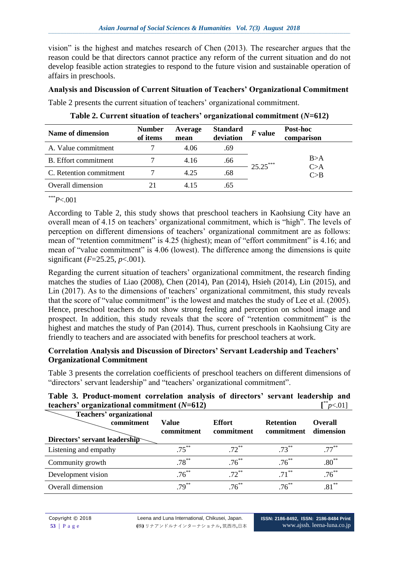vision" is the highest and matches research of Chen (2013). The researcher argues that the reason could be that directors cannot practice any reform of the current situation and do not develop feasible action strategies to respond to the future vision and sustainable operation of affairs in preschools.

## **Analysis and Discussion of Current Situation of Teachers' Organizational Commitment**

Table 2 presents the current situation of teachers' organizational commitment.

| Name of dimension       | <b>Number</b><br>of items | Average<br>mean | <b>Standard</b><br>deviation | $F$ value  | Post-hoc<br>comparison        |
|-------------------------|---------------------------|-----------------|------------------------------|------------|-------------------------------|
| A. Value commitment     |                           | 4.06            | .69                          |            |                               |
| B. Effort commitment    |                           | 4.16            | .66                          | $25.25***$ | B>A<br>$\mathbb{C}\!\!>\!\!A$ |
| C. Retention commitment |                           | 4.25            | .68                          |            | C>B                           |
| Overall dimension       |                           | 4 15            | .65                          |            |                               |

| Table 2. Current situation of teachers' organizational commitment $(N=612)$ |  |  |
|-----------------------------------------------------------------------------|--|--|
|                                                                             |  |  |

*\*\*\*P*<.001

According to Table 2, this study shows that preschool teachers in Kaohsiung City have an overall mean of 4.15 on teachers' organizational commitment, which is "high". The levels of perception on different dimensions of teachers' organizational commitment are as follows: mean of "retention commitment" is 4.25 (highest); mean of "effort commitment" is 4.16; and mean of "value commitment" is 4.06 (lowest). The difference among the dimensions is quite significant (*F*=25.25, *p*<.001).

Regarding the current situation of teachers' organizational commitment, the research finding matches the studies of Liao (2008), Chen (2014), Pan (2014), Hsieh (2014), Lin (2015), and Lin (2017). As to the dimensions of teachers' organizational commitment, this study reveals that the score of "value commitment" is the lowest and matches the study of Lee et al. (2005). Hence, preschool teachers do not show strong feeling and perception on school image and prospect. In addition, this study reveals that the score of "retention commitment" is the highest and matches the study of Pan (2014). Thus, current preschools in Kaohsiung City are friendly to teachers and are associated with benefits for preschool teachers at work.

# **Correlation Analysis and Discussion of Directors' Servant Leadership and Teachers' Organizational Commitment**

Table 3 presents the correlation coefficients of preschool teachers on different dimensions of "directors' servant leadership" and "teachers' organizational commitment".

| teachers' organizational commitment $(N=612)$                           |                     |                             |                                | [p<.01]                     |
|-------------------------------------------------------------------------|---------------------|-----------------------------|--------------------------------|-----------------------------|
| Teachers' organizational<br>commitment<br>Directors' servant leadership | Value<br>commitment | <b>Effort</b><br>commitment | <b>Retention</b><br>commitment | <b>Overall</b><br>dimension |
| Listening and empathy                                                   | $.75***$            | $.72***$                    | $.73***$                       | $.77***$                    |
| Community growth                                                        | $.78***$            | $.76***$                    | $.76***$                       | $.80^{**}$                  |
| Development vision                                                      | $.76***$            | $.72***$                    | $.71***$                       | $.76***$                    |
| Overall dimension                                                       | $.79***$            | $.76***$                    | $76^{**}$                      | $.81***$                    |

# **Table 3. Product-moment correlation analysis of directors' servant leadership and**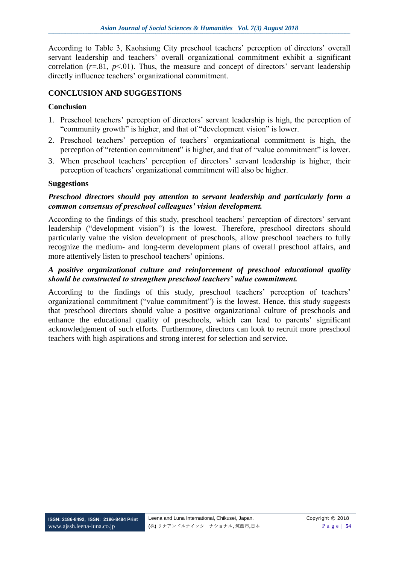According to Table 3, Kaohsiung City preschool teachers' perception of directors' overall servant leadership and teachers' overall organizational commitment exhibit a significant correlation  $(r=.81, p<.01)$ . Thus, the measure and concept of directors' servant leadership directly influence teachers' organizational commitment.

# **CONCLUSION AND SUGGESTIONS**

## **Conclusion**

- 1. Preschool teachers' perception of directors' servant leadership is high, the perception of "community growth" is higher, and that of "development vision" is lower.
- 2. Preschool teachers' perception of teachers' organizational commitment is high, the perception of "retention commitment" is higher, and that of "value commitment" is lower.
- 3. When preschool teachers' perception of directors' servant leadership is higher, their perception of teachers' organizational commitment will also be higher.

### **Suggestions**

#### *Preschool directors should pay attention to servant leadership and particularly form a common consensus of preschool colleagues' vision development.*

According to the findings of this study, preschool teachers' perception of directors' servant leadership ("development vision") is the lowest. Therefore, preschool directors should particularly value the vision development of preschools, allow preschool teachers to fully recognize the medium- and long-term development plans of overall preschool affairs, and more attentively listen to preschool teachers' opinions.

#### *A positive organizational culture and reinforcement of preschool educational quality should be constructed to strengthen preschool teachers' value commitment.*

According to the findings of this study, preschool teachers' perception of teachers' organizational commitment ("value commitment") is the lowest. Hence, this study suggests that preschool directors should value a positive organizational culture of preschools and enhance the educational quality of preschools, which can lead to parents' significant acknowledgement of such efforts. Furthermore, directors can look to recruit more preschool teachers with high aspirations and strong interest for selection and service.